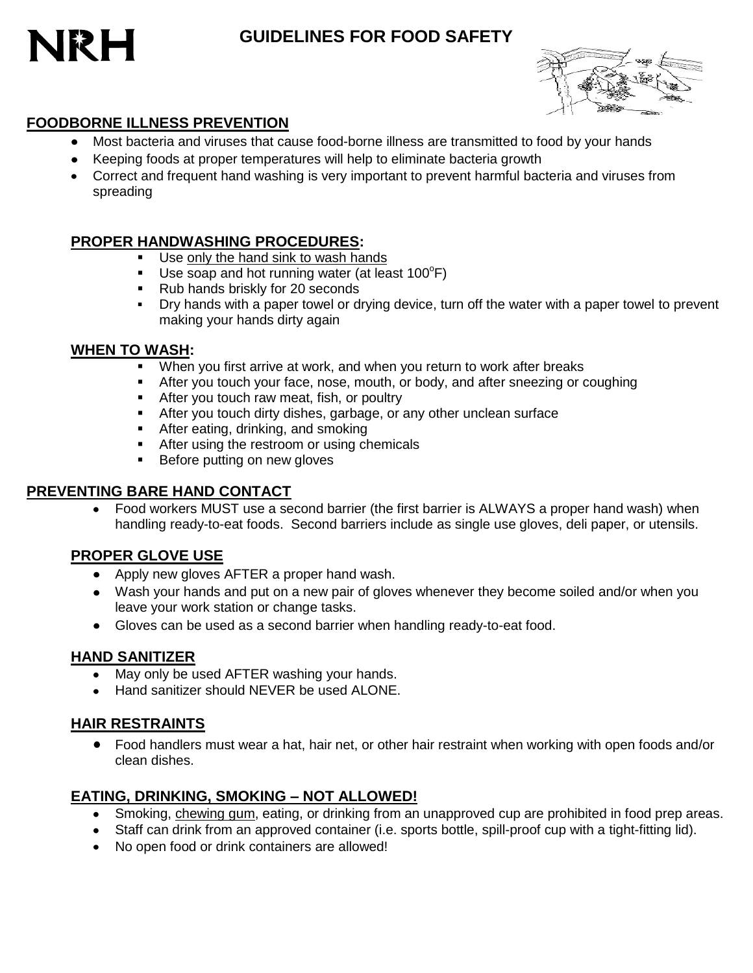





### **FOODBORNE ILLNESS PREVENTION**

- Most bacteria and viruses that cause food-borne illness are transmitted to food by your hands
- Keeping foods at proper temperatures will help to eliminate bacteria growth
- Correct and frequent hand washing is very important to prevent harmful bacteria and viruses from spreading

#### **PROPER HANDWASHING PROCEDURES:**

- Use only the hand sink to wash hands
- Use soap and hot running water (at least  $100^{\circ}F$ )
- Rub hands briskly for 20 seconds
- Dry hands with a paper towel or drying device, turn off the water with a paper towel to prevent making your hands dirty again

#### **WHEN TO WASH:**

- When you first arrive at work, and when you return to work after breaks
- After you touch your face, nose, mouth, or body, and after sneezing or coughing
- **After you touch raw meat, fish, or poultry**
- **After you touch dirty dishes, garbage, or any other unclean surface**
- After eating, drinking, and smoking
- **After using the restroom or using chemicals**
- **Before putting on new gloves**

### **PREVENTING BARE HAND CONTACT**

Food workers MUST use a second barrier (the first barrier is ALWAYS a proper hand wash) when handling ready-to-eat foods. Second barriers include as single use gloves, deli paper, or utensils.

### **PROPER GLOVE USE**

- Apply new gloves AFTER a proper hand wash.
- Wash your hands and put on a new pair of gloves whenever they become soiled and/or when you leave your work station or change tasks.
- Gloves can be used as a second barrier when handling ready-to-eat food.

### **HAND SANITIZER**

- May only be used AFTER washing your hands.
- Hand sanitizer should NEVER be used ALONE.

# **HAIR RESTRAINTS**

Food handlers must wear a hat, hair net, or other hair restraint when working with open foods and/or clean dishes.

### **EATING, DRINKING, SMOKING – NOT ALLOWED!**

- Smoking, chewing gum, eating, or drinking from an unapproved cup are prohibited in food prep areas.
- Staff can drink from an approved container (i.e. sports bottle, spill-proof cup with a tight-fitting lid).
- No open food or drink containers are allowed!